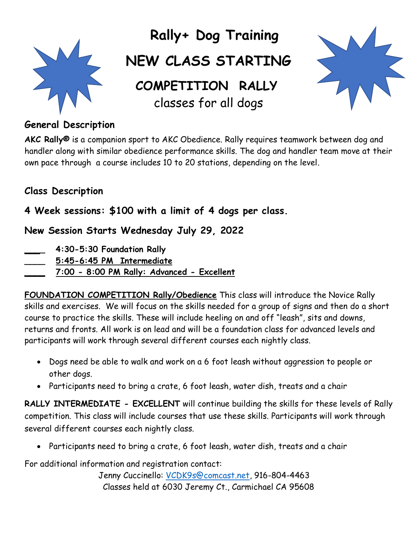

# **Rally+ Dog Training**

## **NEW CLASS STARTING**

 **COMPETITION RALLY** classes for all dogs



### **General Description**

**AKC Rally®** is a companion sport to AKC Obedience. Rally requires teamwork between dog and handler along with similar obedience performance skills. The dog and handler team move at their own pace through a course includes 10 to 20 stations, depending on the level.

### **Class Description**

### **4 Week sessions: \$100 with a limit of 4 dogs per class.**

**New Session Starts Wednesday July 29, 2022**

- **\_\_\_\_ 4:30-5:30 Foundation Rally**
- **\_\_\_\_ 5:45-6:45 PM Intermediate**
- **\_\_\_\_ 7:00 - 8:00 PM Rally: Advanced - Excellent**

**FOUNDATION COMPETITION Rally/Obedience** This class will introduce the Novice Rally skills and exercises. We will focus on the skills needed for a group of signs and then do a short course to practice the skills. These will include heeling on and off "leash", sits and downs, returns and fronts. All work is on lead and will be a foundation class for advanced levels and participants will work through several different courses each nightly class.

- Dogs need be able to walk and work on a 6 foot leash without aggression to people or other dogs.
- Participants need to bring a crate, 6 foot leash, water dish, treats and a chair

**RALLY INTERMEDIATE - EXCELLENT** will continue building the skills for these levels of Rally competition. This class will include courses that use these skills. Participants will work through several different courses each nightly class.

• Participants need to bring a crate, 6 foot leash, water dish, treats and a chair

For additional information and registration contact:

Jenny Cuccinello: [VCDK9s@comcast.net,](mailto:VCDK9s@comcast.net) 916-804-4463 Classes held at 6030 Jeremy Ct., Carmichael CA 95608